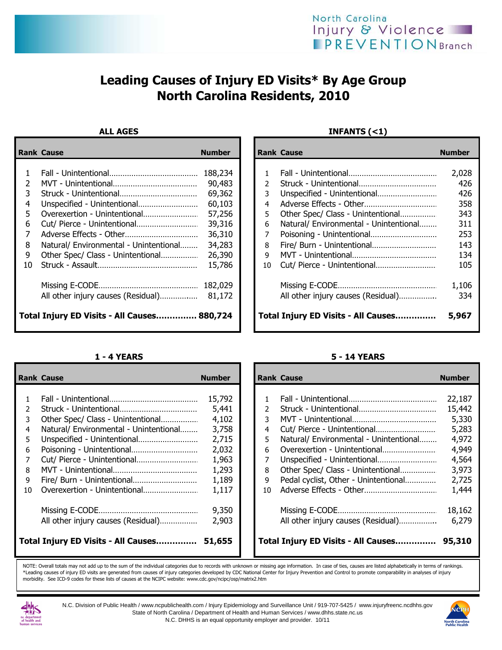# Leading Causes of Injury ED Visits\* By Age Group North Carolina Residents, 2010

|    | <b>Rank Cause</b>                           | <b>Number</b> |               | <b>Rank Cause</b>                      | <b>Number</b> |
|----|---------------------------------------------|---------------|---------------|----------------------------------------|---------------|
|    |                                             |               |               |                                        |               |
|    |                                             | 188,234       |               |                                        | 2,028         |
|    |                                             | 90,483        | $\mathcal{P}$ |                                        | 426           |
|    |                                             | 69,362        | 3             |                                        | 426           |
| 4  |                                             | 60,103        | 4             |                                        | 358           |
| 5. |                                             | 57,256        | 5.            |                                        | 343           |
| 6  |                                             | 39,316        | 6             | Natural/ Environmental - Unintentional | 311           |
|    |                                             | 36,310        |               |                                        | 253           |
| 8  | Natural/ Environmental - Unintentional      | 34,283        | 8             | Fire/ Burn - Unintentional             | 143           |
| 9  | Other Spec/ Class - Unintentional           | 26,390        | 9             |                                        | 134           |
| 10 |                                             | 15,786        | 10            |                                        | 105           |
|    |                                             | 182,029       |               |                                        | 1,106         |
|    |                                             | 81,172        |               | All other injury causes (Residual)     | 334           |
|    | Total Injury ED Visits - All Causes 880,724 |               |               | Total Injury ED Visits - All Causes    | 5,967         |

## ALL AGES INFANTS (<1)

|                                            | ank Cause                              | <b>Number</b> |  |               | <b>Rank Cause</b>                      | <b>Number</b> |
|--------------------------------------------|----------------------------------------|---------------|--|---------------|----------------------------------------|---------------|
|                                            |                                        |               |  |               |                                        |               |
| $\mathbf{1}$                               |                                        | 188,234       |  |               |                                        | 2,028         |
| 2                                          |                                        | 90,483        |  | $\mathcal{P}$ |                                        | 426           |
| 3.                                         |                                        | 69,362        |  | 3             |                                        | 426           |
| 4                                          | Unspecified - Unintentional            | 60,103        |  | 4             |                                        | 358           |
| 5                                          | Overexertion - Unintentional           | 57,256        |  | 5.            | Other Spec/ Class - Unintentional      | 343           |
| 6.                                         |                                        | 39,316        |  | 6.            | Natural/ Environmental - Unintentional | 311           |
| 7                                          |                                        | 36,310        |  |               |                                        | 253           |
| 8                                          | Natural/ Environmental - Unintentional | 34,283        |  | 8             | Fire/ Burn - Unintentional             | 143           |
| 9                                          | Other Spec/ Class - Unintentional      | 26,390        |  | q             |                                        | 134           |
| ۱O                                         |                                        | 15,786        |  | 10            |                                        | 105           |
|                                            |                                        | 182,029       |  |               |                                        | 1,106         |
|                                            |                                        |               |  |               | All other injury causes (Residual)     | 334           |
| otal Injury ED Visits - All Causes 880,724 |                                        |               |  |               | Total Injury ED Visits - All Causes    | 5,967         |

|    | <b>Rank Cause</b>                      | <b>Number</b> |    | <b>Rank Cause</b>                      | <b>Number</b> |
|----|----------------------------------------|---------------|----|----------------------------------------|---------------|
|    |                                        |               |    |                                        |               |
|    |                                        | 15,792        |    |                                        | 22,187        |
|    |                                        | 5,441         | 2  |                                        | 15,442        |
| 3  | Other Spec/ Class - Unintentional      | 4,102         | 3  |                                        | 5,330         |
| 4  | Natural/ Environmental - Unintentional | 3,758         | 4  |                                        | 5,283         |
|    | Unspecified - Unintentional            | 2,715         | 5  | Natural/ Environmental - Unintentional | 4,972         |
| 6  |                                        | 2,032         | 6. |                                        | 4,949         |
|    | Cut/ Pierce - Unintentional            | 1,963         | 7  | Unspecified - Unintentional            | 4,564         |
| 8  |                                        | 1,293         | 8  | Other Spec/ Class - Unintentional      | 3,973         |
| 9  | Fire/ Burn - Unintentional             | 1,189         | 9  | Pedal cyclist, Other - Unintentional   | 2,725         |
| 10 | Overexertion - Unintentional           | 1,117         | 10 |                                        | 1,444         |
|    |                                        | 9,350         |    |                                        | 18,162        |
|    | All other injury causes (Residual)     | 2,903         |    | All other injury causes (Residual)     | 6,279         |
|    | Total Injury ED Visits - All Causes    | 51,655        |    | Total Injury ED Visits - All Causes    | 95,310        |

### 1 - 4 YEARS 5 - 14 YEARS

|              | ank Cause                              | <b>Number</b> |    | <b>Rank Cause</b>                      | <b>Number</b> |
|--------------|----------------------------------------|---------------|----|----------------------------------------|---------------|
|              |                                        |               |    |                                        |               |
| $\mathbf{1}$ |                                        | 15,792        |    |                                        | 22,187        |
| 2            |                                        | 5,441         |    |                                        | 15,442        |
| 3            | Other Spec/ Class - Unintentional      | 4,102         | 3  |                                        | 5,330         |
| 4            | Natural/ Environmental - Unintentional | 3,758         | 4  |                                        | 5,283         |
| 5            | Unspecified - Unintentional            | 2,715         | 5. | Natural/ Environmental - Unintentional | 4,972         |
| 6            | Poisoning - Unintentional              | 2,032         | 6  |                                        | 4,949         |
| 7            |                                        | 1,963         |    | Unspecified - Unintentional            | 4,564         |
| 8.           |                                        | 1,293         | 8  | Other Spec/ Class - Unintentional      | 3,973         |
| 9            |                                        | 1,189         | 9  | Pedal cyclist, Other - Unintentional   | 2,725         |
| ١O           |                                        | 1,117         | 10 |                                        | 1,444         |
|              |                                        | 9,350         |    |                                        | 18,162        |
|              | All other injury causes (Residual)     | 2,903         |    | All other injury causes (Residual)     | 6,279         |
|              | otal Injury ED Visits - All Causes     | 51,655        |    | Total Injury ED Visits - All Causes    | 95,310        |

NOTE: Overall totals may not add up to the sum of the individual categories due to records with unknown or missing age information. In case of ties, causes are listed alphabetically in terms of rankings. \*Leading causes of injury ED visits are generated from causes of injury categories developed by CDC National Center for Injury Prevention and Control to promote comparability in analyses of injury morbidity. See ICD-9 codes for these lists of causes at the NCIPC website: www.cdc.gov/ncipc/osp/matrix2.htm



N.C. Division of Public Health / www.ncpublichealth.com / Injury Epidemiology and Surveillance Unit / 919-707-5425 / www.injuryfreenc.ncdhhs.gov State of North Carolina / Department of Health and Human Services / www.dhhs.state.nc.us N.C. DHHS is an equal opportunity employer and provider. 10/11

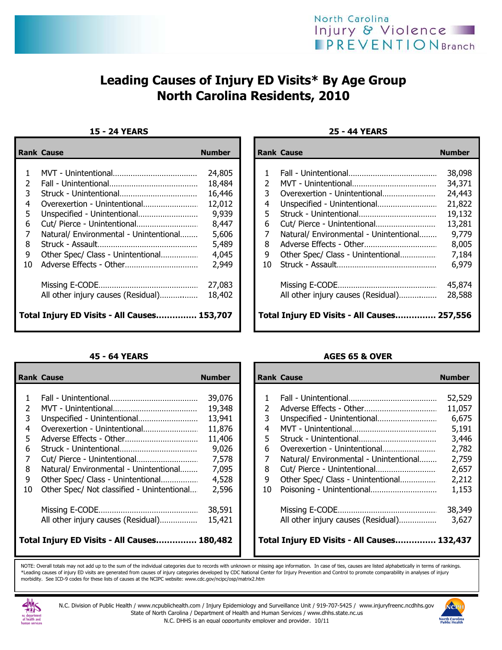

# Leading Causes of Injury ED Visits\* By Age Group North Carolina Residents, 2010

## 15 - 24 YEARS 25 - 44 YEARS

|                                             | <b>Rank Cause</b>                      | <b>Number</b> |  |               | <b>Rank Cause</b>                                  | <b>Number</b> |
|---------------------------------------------|----------------------------------------|---------------|--|---------------|----------------------------------------------------|---------------|
|                                             |                                        | 24,805        |  |               |                                                    | 38,098        |
|                                             |                                        | 18,484        |  | $\mathcal{P}$ |                                                    | 34,371        |
| 3.                                          |                                        | 16,446        |  | 3.            |                                                    | 24,443        |
|                                             |                                        | 12,012        |  | 4             | Unspecified - Unintentional                        | 21,822        |
| 5                                           |                                        | 9,939         |  | 5.            |                                                    | 19,132        |
| 6                                           |                                        | 8,447         |  | 6             |                                                    | 13,281        |
|                                             | Natural/ Environmental - Unintentional | 5,606         |  |               | Natural/ Environmental - Unintentional             | 9,779         |
| 8                                           |                                        | 5,489         |  | 8             |                                                    | 8,005         |
| 9                                           | Other Spec/ Class - Unintentional      | 4,045         |  | 9             | Other Spec/ Class - Unintentional                  | 7,184         |
| 10                                          |                                        | 2,949         |  | 10            |                                                    | 6,979         |
|                                             |                                        | 27,083        |  |               |                                                    | 45,874        |
|                                             | All other injury causes (Residual)     | 18,402        |  |               | All other injury causes (Residual)                 | 28,588        |
| Total Injury ED Visits - All Causes 153,707 |                                        |               |  |               | <b>Total Injury ED Visits - All Causes 257,556</b> |               |

|    | <b>Rank Cause</b>                           | <b>Number</b> |    | <b>Rank Cause</b>                           | <b>Number</b> |
|----|---------------------------------------------|---------------|----|---------------------------------------------|---------------|
|    |                                             |               |    |                                             |               |
|    |                                             | 39,076        |    |                                             | 52,529        |
| 2  |                                             | 19,348        | 2  | Adverse Effects - Other                     | 11,057        |
| 3  | Unspecified - Unintentional                 | 13,941        | 3. | Unspecified - Unintentional                 | 6,675         |
| 4  | Overexertion - Unintentional                | 11,876        | 4  |                                             | 5,191         |
| 5. |                                             | 11,406        | 5. |                                             | 3,446         |
| 6  |                                             | 9,026         | 6  |                                             | 2,782         |
|    |                                             | 7,578         |    | Natural/ Environmental - Unintentional      | 2,759         |
| 8  | Natural/ Environmental - Unintentional      | 7,095         | 8  |                                             | 2,657         |
| 9  | Other Spec/ Class - Unintentional           | 4,528         | 9  | Other Spec/ Class - Unintentional           | 2,212         |
| 10 | Other Spec/ Not classified - Unintentional  | 2,596         | 10 | Poisoning - Unintentional                   | 1,153         |
|    |                                             | 38,591        |    |                                             | 38,349        |
|    | All other injury causes (Residual)          | 15,421        |    | All other injury causes (Residual)          | 3,627         |
|    | Total Injury ED Visits - All Causes 180,482 |               |    | Total Injury ED Visits - All Causes 132,437 |               |

|    | ank Cause                                  | <b>Number</b> |                | <b>Rank Cause</b>                                  | <b>Number</b> |
|----|--------------------------------------------|---------------|----------------|----------------------------------------------------|---------------|
|    |                                            |               |                |                                                    |               |
| 1  |                                            | 24,805        |                |                                                    | 38,098        |
| 2  |                                            | 18,484        | $\overline{2}$ |                                                    | 34,371        |
| 3  |                                            | 16,446        | 3.             |                                                    | 24,443        |
| 4  |                                            | 12,012        | 4              | Unspecified - Unintentional                        | 21,822        |
| 5. | Unspecified - Unintentional                | 9,939         | 5.             |                                                    | 19,132        |
| 6  |                                            | 8,447         | 6              |                                                    | 13,281        |
| 7  | Natural/ Environmental - Unintentional     | 5,606         |                | Natural/ Environmental - Unintentional             | 9,779         |
| 8. |                                            | 5,489         | 8              |                                                    | 8,005         |
| 9  | Other Spec/ Class - Unintentional          | 4,045         | 9              | Other Spec/ Class - Unintentional                  | 7,184         |
| ١O |                                            | 2,949         | 10             |                                                    | 6,979         |
|    |                                            | 27,083        |                |                                                    | 45,874        |
|    | All other injury causes (Residual)         | 18,402        |                | All other injury causes (Residual)                 | 28,588        |
|    | otal Injury ED Visits - All Causes 153,707 |               |                | <b>Total Injury ED Visits - All Causes 257,556</b> |               |

## 45 - 64 YEARS AGES 65 & OVER

|       | ank Cause                                  | <b>Number</b> |    | <b>Rank Cause</b>                           | <b>Number</b> |
|-------|--------------------------------------------|---------------|----|---------------------------------------------|---------------|
|       |                                            |               |    |                                             |               |
| $1\,$ |                                            | 39,076        |    |                                             | 52,529        |
| 2     |                                            | 19,348        |    |                                             | 11,057        |
| 3     | Unspecified - Unintentional                | 13,941        | 3  | Unspecified - Unintentional                 | 6,675         |
| 4     |                                            | 11,876        | 4  |                                             | 5,191         |
| 5     |                                            | 11,406        | 5. |                                             | 3,446         |
| 6.    |                                            | 9,026         | 6  |                                             | 2,782         |
| 7     |                                            | 7,578         |    | Natural/ Environmental - Unintentional      | 2,759         |
| 8     | Natural/ Environmental - Unintentional     | 7,095         | 8  |                                             | 2,657         |
| 9     | Other Spec/ Class - Unintentional          | 4,528         | 9  | Other Spec/ Class - Unintentional           | 2,212         |
| LO.   | Other Spec/ Not classified - Unintentional | 2,596         | 10 | Poisoning - Unintentional                   | 1,153         |
|       |                                            | 38,591        |    |                                             | 38,349        |
|       | All other injury causes (Residual)         | 15,421        |    | All other injury causes (Residual)          | 3,627         |
|       | otal Injury ED Visits - All Causes 180,482 |               |    | Total Injury ED Visits - All Causes 132,437 |               |

NOTE: Overall totals may not add up to the sum of the individual categories due to records with unknown or missing age information. In case of ties, causes are listed alphabetically in terms of rankings. \*Leading causes of injury ED visits are generated from causes of injury categories developed by CDC National Center for Injury Prevention and Control to promote comparability in analyses of injury morbidity. See ICD-9 codes for these lists of causes at the NCIPC website: www.cdc.gov/ncipc/osp/matrix2.htm